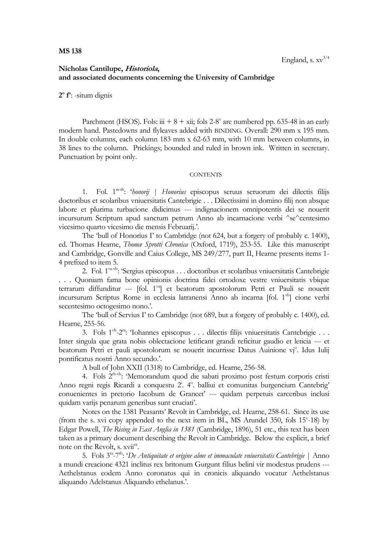## **Nicholas Cantilupe, Historiola, and associated documents concerning the University of Cambridge**

**2 o f o** : -situm dignis

Parchment (HSOS). Fols:  $\dddot{u}$  + 8 + xii; fols 2-8<sup>v</sup> are numbered pp. 635-48 in an early modern hand. Pastedowns and flyleaves added with BINDING. Overall: 290 mm x 195 mm. In double columns, each column 183 mm x 62-63 mm, with 10 mm between columns, in 38 lines to the column. Prickings; bounded and ruled in brown ink. Written in secretary. Punctuation by point only.

## **CONTENTS**

1. Fol. 1ra-rb : '*honorij* | *Honorius* episcopus seruus seruorum dei dilectis filijs doctoribus et scolaribus vniuersitatis Cantebrigie . . . Dilectissimi in domino filij non absque labore et plurima turbacione didicimus --- indignacionem omnipotentis dei se nouerit incursurum Scriptum apud sanctum petrum Anno ab incarnacione verbi ^se^centesimo vicesimo quarto vicesimo die mensis Februarij.'.

The 'bull of Honorius I' to Cambridge (not 624, but a forgery of probably c. 1400), ed. Thomas Hearne, *Thomæ Sprotti Chronica* (Oxford, 1719), 253-55. Like this manuscript and Cambridge, Gonville and Caius College, MS 249/277, part II, Hearne presents items 1- 4 prefixed to item 5.

2. Fol. 1va-vb: 'Sergius episcopus . . . doctoribus et scolaribus vniuersitatis Cantebrigie . . . Quoniam fama bone opinionis doctrina fidei ortodoxe vestre vniuersitatis vbique terrarum diffunditur --- [fol. 1<sup>va</sup>] et beatorum apostolorum Petri et Pauli se nouerit incursurum Scriptus Rome in ecclesia latranensi Anno ab incarna [fol. 1<sup>vb</sup>] cione verbi secentesimo octogesimo nono.'.

The 'bull of Servius I' to Cambridge (not 689, but a forgery of probably c. 1400), ed. Hearne, 255-56.

3. Fols 1<sup>vb</sup>-2<sup>ra</sup>: 'Iohannes episcopus . . . dilectis filijs vniuersitatis Cantebrigie . . . Inter singula que grata nobis oblectacione letificant grandi reficitur gaudio et leticia --- et beatorum Petri et pauli apostolorum se nouerit incurrisse Datus Auinione vj°. Idus Iulij pontificatus nostri Anno secundo.'.

A bull of John XXII (1318) to Cambridge, ed. Hearne, 256-58.

4. Fols 2<sup>rb-vb</sup>: 'Memorandum quod die sabati proximo post festum corporis cristi Anno regni regis Ricardi a conquestu 2<sup>i</sup>. 4° balliui et comunitas burgencium Cantebrig' conuenientes in pretorio Iacobum de Grancet' --- quidam perpetuis carceribus inclusi quidam varijs penarum generibus sunt cruciati'.

Notes on the 1381 Peasants' Revolt in Cambridge, ed. Hearne, 258-61. Since its use (from the s. xvi copy appended to the next item in BL, MS Arundel 350, fols  $15^{\circ}$ -18) by Edgar Powell, *The Rising in East Anglia in 1381* (Cambridge, 1896), 51 etc., this text has been taken as a primary document describing the Revolt in Cambridge. Below the explicit, a brief note on the Revolt, s. xviiex.

5. Fols 3<sup>ra</sup>-7<sup>rb</sup>: '*De Antiquitate et origine alme et immaculate vniuersitatis Cantebrigie* | Anno a mundi creacione 4321 inclitus rex britonum Gurgunt filius belini vir modestus prudens --- Aethelstanus eodem Anno coronatus qui in cronicis aliquando vocatur Aethelstanus aliquando Adelstanus Aliquando ethelanus.'.